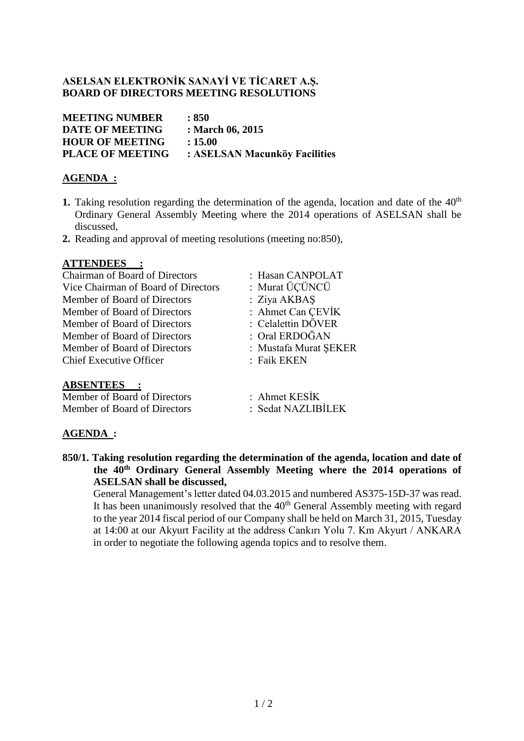### **ASELSAN ELEKTRONİK SANAYİ VE TİCARET A.Ş. BOARD OF DIRECTORS MEETING RESOLUTIONS**

| <b>MEETING NUMBER</b>   | : 850                         |
|-------------------------|-------------------------------|
| <b>DATE OF MEETING</b>  | : March 06, 2015              |
| <b>HOUR OF MEETING</b>  | : 15.00                       |
| <b>PLACE OF MEETING</b> | : ASELSAN Macunköy Facilities |
|                         |                               |

## **AGENDA :**

- **1.** Taking resolution regarding the determination of the agenda, location and date of the  $40<sup>th</sup>$ Ordinary General Assembly Meeting where the 2014 operations of ASELSAN shall be discussed,
- **2.** Reading and approval of meeting resolutions (meeting no:850),

### **ATTENDEES :**

Chairman of Board of Directors : Hasan CANPOLAT Vice Chairman of Board of Directors : Murat ÜÇÜNCÜ Member of Board of Directors : Ziya AKBAS Member of Board of Directors : Ahmet Can ÇEVİK Member of Board of Directors : Celalettin DÖVER Member of Board of Directors : Oral ERDOĞAN Member of Board of Directors : Mustafa Murat ŞEKER Chief Executive Officer : Faik EKEN

- 
- 
- 
- 
- 
- 
- 

### **ABSENTEES :**

Member of Board of Directors : Ahmet KESİK Member of Board of Directors : Sedat NAZLIBİLEK

- 
- 

## **AGENDA :**

**850/1. Taking resolution regarding the determination of the agenda, location and date of the 40th Ordinary General Assembly Meeting where the 2014 operations of ASELSAN shall be discussed,**

General Management's letter dated 04.03.2015 and numbered AS375-15D-37 was read. It has been unanimously resolved that the  $40<sup>th</sup>$  General Assembly meeting with regard to the year 2014 fiscal period of our Company shall be held on March 31, 2015, Tuesday at 14:00 at our Akyurt Facility at the address Cankırı Yolu 7. Km Akyurt / ANKARA in order to negotiate the following agenda topics and to resolve them.